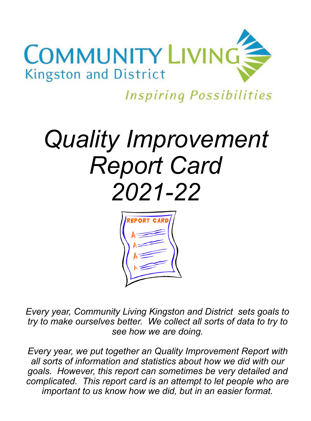

**Inspiring Possibilities** 

# *Quality Improvement Report Card 2021-22*



*Every year, Community Living Kingston and District sets goals to try to make ourselves better. We collect all sorts of data to try to see how we are doing.* 

*Every year, we put together an Quality Improvement Report with all sorts of information and statistics about how we did with our goals. However, this report can sometimes be very detailed and complicated. This report card is an attempt to let people who are important to us know how we did, but in an easier format.*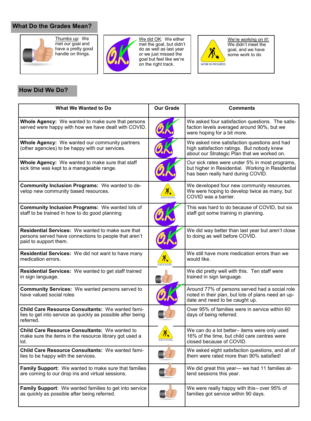## **What Do the Grades Mean?**





We did OK: We either met the goal, but didn't do as well as last year or we just missed the goal but feel like we're on the right track.



We're working on it!: We didn't meet the goal, and we have some work to do

### **How Did We Do?**

| What We Wanted to Do                                                                                                                       | <b>Our Grade</b>              | <b>Comments</b>                                                                                                                           |
|--------------------------------------------------------------------------------------------------------------------------------------------|-------------------------------|-------------------------------------------------------------------------------------------------------------------------------------------|
| <b>Whole Agency:</b> We wanted to make sure that persons<br>served were happy with how we have dealt with COVID.                           |                               | We asked four satisfaction questions. The satis-<br>faction levels averaged around 90%, but we<br>were hoping for a bit more.             |
| <b>Whole Agency:</b> We wanted our community partners<br>(other agencies) to be happy with our services.                                   |                               | We asked nine satisfaction questions and had<br>high satisfaction ratings. But nobody knew<br>about our Strategic Plan that we worked on. |
| Whole Agency: We wanted to make sure that staff<br>sick time was kept to a manageable range.                                               |                               | Our sick rates were under 5% in most programs,<br>but higher in Residential. Working in Residential<br>has been really hard during COVID. |
| Community Inclusion Programs: We wanted to de-<br>velop new community based resources.                                                     | ∧<br><b>ORK IN PROGRES</b>    | We developed four new community resources.<br>We were hoping to develop twice as many, but<br>COVID was a barrier.                        |
| <b>Community Inclusion Programs: We wanted lots of</b><br>staff to be trained in how to do good planning                                   |                               | This was hard to do because of COVID, but six<br>staff got some training in planning.                                                     |
| <b>Residential Services:</b> We wanted to make sure that<br>persons served have connections to people that aren't<br>paid to support them. |                               | We did way better than last year but aren't close<br>to doing as well before COVID.                                                       |
| Residential Services: We did not want to have many<br>medication errors.                                                                   |                               | We still have more medication errors than we<br>would like.                                                                               |
| Residential Services: We wanted to get staff trained<br>in sign language.                                                                  |                               | We did pretty well with this. Ten staff were<br>trained in sign language.                                                                 |
| <b>Community Services:</b> We wanted persons served to<br>have valued social roles                                                         |                               | Around 77% of persons served had a social role<br>noted in their plan, but lots of plans need an up-<br>date and need to be caught up.    |
| Child Care Resource Consultants: We wanted fami-<br>lies to get into service as quickly as possible after being<br>referred.               |                               | Over 95% of families were in service within 60<br>days of being referred.                                                                 |
| <b>Child Care Resource Consultants: We wanted to</b><br>make sure the items in the resource library got used a<br>lot.                     | Y.<br><b>WORK IN PROGRESS</b> | We can do a lot better- items were only used<br>16% of the time, but child care centres were<br>closed because of COVID.                  |
| <b>Child Care Resource Consultants: We wanted fami-</b><br>lies to be happy with the services.                                             |                               | We asked eight satisfaction questions, and all of<br>them were rated more than 90% satisfied!                                             |
| <b>Family Support:</b> We wanted to make sure that families<br>are coming to our drop ins and virtual sessions.                            |                               | We did great this year- we had 11 families at-<br>tend sessions this year.                                                                |
| <b>Family Support:</b> We wanted families to get into service<br>as quickly as possible after being referred.                              |                               | We were really happy with this- over 95% of<br>families got service within 90 days.                                                       |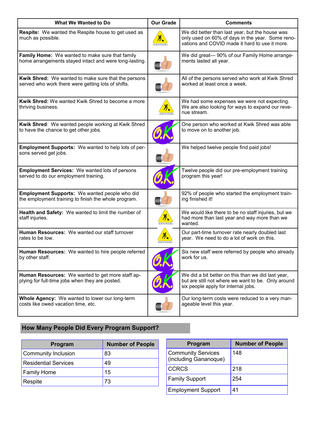| <b>What We Wanted to Do</b>                                                                                      | <b>Our Grade</b>            | <b>Comments</b>                                                                                                                                       |
|------------------------------------------------------------------------------------------------------------------|-----------------------------|-------------------------------------------------------------------------------------------------------------------------------------------------------|
| <b>Respite:</b> We wanted the Respite house to get used as<br>much as possible.                                  |                             | We did better than last year, but the house was<br>only used on 60% of days in the year. Some reno-<br>vations and COVID made it hard to use it more. |
| Family Home: We wanted to make sure that family<br>home arrangements stayed intact and were long-lasting.        |                             | We did great- 90% of our Family Home arrange-<br>ments lasted all year.                                                                               |
| <b>Kwik Shred:</b> We wanted to make sure that the persons<br>served who work there were getting lots of shifts. |                             | All of the persons served who work at Kwik Shred<br>worked at least once a week.                                                                      |
| Kwik Shred: We wanted Kwik Shred to become a more<br>thriving business.                                          | <b>CIN PROGRESS</b>         | We had some expenses we were not expecting.<br>We are also looking for ways to expand our reve-<br>nue stream.                                        |
| Kwik Shred: We wanted people working at Kwik Shred<br>to have the chance to get other jobs.                      |                             | One person who worked at Kwik Shred was able<br>to move on to another job.                                                                            |
| <b>Employment Supports:</b> We wanted to help lots of per-<br>sons served get jobs.                              |                             | We helped twelve people find paid jobs!                                                                                                               |
| <b>Employment Services:</b> We wanted lots of persons<br>served to do our employment training.                   |                             | Twelve people did our pre-employment training<br>program this year!                                                                                   |
| <b>Employment Supports:</b> We wanted people who did<br>the employment training to finish the whole program.     |                             | 92% of people who started the employment train-<br>ing finished it!                                                                                   |
| Health and Safety: We wanted to limit the number of<br>staff injuries.                                           | 八<br><b>DRK IN PROGRESS</b> | We would like there to be no staff injuries, but we<br>had more than last year and way more than we<br>wanted.                                        |
| Human Resources: We wanted our staff turnover<br>rates to be low.                                                |                             | Our part-time turnover rate nearly doubled last<br>year. We need to do a lot of work on this.                                                         |
| Human Resources: We wanted to hire people referred<br>by other staff.                                            |                             | Six new staff were referred by people who already<br>work for us.                                                                                     |
| Human Resources: We wanted to get more staff ap-<br>plying for full-time jobs when they are posted.              |                             | We did a bit better on this than we did last year,<br>but are still not where we want to be. Only around<br>six people apply for internal jobs.       |
| Whole Agency: We wanted to lower our long-term<br>costs like owed vacation time, etc.                            |                             | Our long-term costs were reduced to a very man-<br>ageable level this year.                                                                           |

# **How Many People Did Every Program Support?**

| Program                     | <b>Number of People</b> |
|-----------------------------|-------------------------|
| Community Inclusion         | 83                      |
| <b>Residential Services</b> | 49                      |
| <b>Family Home</b>          | 15                      |
| Respite                     | 73                      |

| Program                                            | <b>Number of People</b> |
|----------------------------------------------------|-------------------------|
| <b>Community Services</b><br>(including Gananoque) | 148                     |
| <b>CCRCS</b>                                       | 218                     |
| <b>Family Support</b>                              | 254                     |
| <b>Employment Support</b>                          | 41                      |